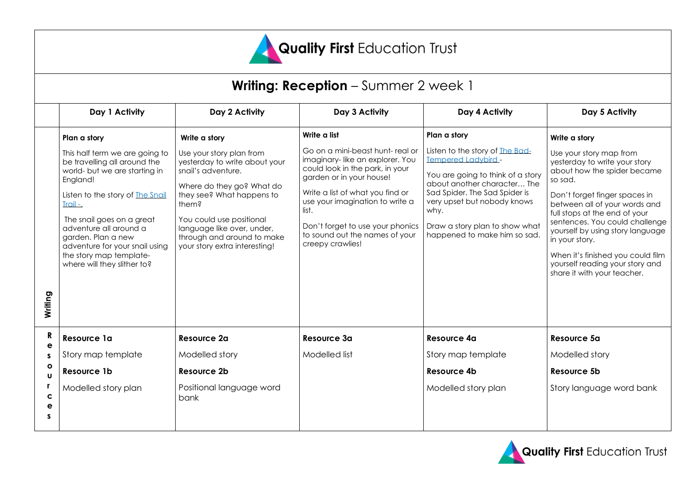

# **Writing: Reception** – Summer 2 week 1

|                   | Day 1 Activity                                                                                                                                                                                                                                                                                                                      | Day 2 Activity                                                                                                                                                                                                                                                              | Day 3 Activity                                                                                                                                                                                                                                                                                              | Day 4 Activity                                                                                                                                                                                                                                                              | Day 5 Activity                                                                                                                                                                                                                                                                                                                                                                                       |
|-------------------|-------------------------------------------------------------------------------------------------------------------------------------------------------------------------------------------------------------------------------------------------------------------------------------------------------------------------------------|-----------------------------------------------------------------------------------------------------------------------------------------------------------------------------------------------------------------------------------------------------------------------------|-------------------------------------------------------------------------------------------------------------------------------------------------------------------------------------------------------------------------------------------------------------------------------------------------------------|-----------------------------------------------------------------------------------------------------------------------------------------------------------------------------------------------------------------------------------------------------------------------------|------------------------------------------------------------------------------------------------------------------------------------------------------------------------------------------------------------------------------------------------------------------------------------------------------------------------------------------------------------------------------------------------------|
|                   | Plan a story                                                                                                                                                                                                                                                                                                                        | Write a story                                                                                                                                                                                                                                                               | Write a list                                                                                                                                                                                                                                                                                                | Plan a story                                                                                                                                                                                                                                                                | Write a story                                                                                                                                                                                                                                                                                                                                                                                        |
| Writing           | This half term we are going to<br>be travelling all around the<br>world- but we are starting in<br>England!<br>Listen to the story of The Snail<br>Trail-.<br>The snail goes on a great<br>adventure all around a<br>garden. Plan a new<br>adventure for your snail using<br>the story map template-<br>where will they slither to? | Use your story plan from<br>yesterday to write about your<br>snail's adventure.<br>Where do they go? What do<br>they see? What happens to<br>them?<br>You could use positional<br>language like over, under,<br>through and around to make<br>your story extra interesting! | Go on a mini-beast hunt-real or<br>imaginary-like an explorer. You<br>could look in the park, in your<br>garden or in your house!<br>Write a list of what you find or<br>use your imagination to write a<br>list.<br>Don't forget to use your phonics<br>to sound out the names of your<br>creepy crawlies! | Listen to the story of The Bad-<br><b>Tempered Ladybird -</b><br>You are going to think of a story<br>about another character The<br>Sad Spider. The Sad Spider is<br>very upset but nobody knows<br>why.<br>Draw a story plan to show what<br>happened to make him so sad. | Use your story map from<br>yesterday to write your story<br>about how the spider became<br>so sad.<br>Don't forget finger spaces in<br>between all of your words and<br>full stops at the end of your<br>sentences. You could challenge<br>yourself by using story language<br>in your story.<br>When it's finished you could film<br>yourself reading your story and<br>share it with your teacher. |
| R<br>e            | Resource 1a                                                                                                                                                                                                                                                                                                                         | <b>Resource 2a</b>                                                                                                                                                                                                                                                          | Resource 3a                                                                                                                                                                                                                                                                                                 | Resource 4a                                                                                                                                                                                                                                                                 | Resource 5a                                                                                                                                                                                                                                                                                                                                                                                          |
| s                 | Story map template                                                                                                                                                                                                                                                                                                                  | Modelled story                                                                                                                                                                                                                                                              | Modelled list                                                                                                                                                                                                                                                                                               | Story map template                                                                                                                                                                                                                                                          | Modelled story                                                                                                                                                                                                                                                                                                                                                                                       |
| $\circ$<br>U      | Resource 1b                                                                                                                                                                                                                                                                                                                         | Resource 2b                                                                                                                                                                                                                                                                 |                                                                                                                                                                                                                                                                                                             | Resource 4b                                                                                                                                                                                                                                                                 | Resource 5b                                                                                                                                                                                                                                                                                                                                                                                          |
| r.<br>C<br>e<br>s | Modelled story plan                                                                                                                                                                                                                                                                                                                 | Positional language word<br>bank                                                                                                                                                                                                                                            |                                                                                                                                                                                                                                                                                                             | Modelled story plan                                                                                                                                                                                                                                                         | Story language word bank                                                                                                                                                                                                                                                                                                                                                                             |

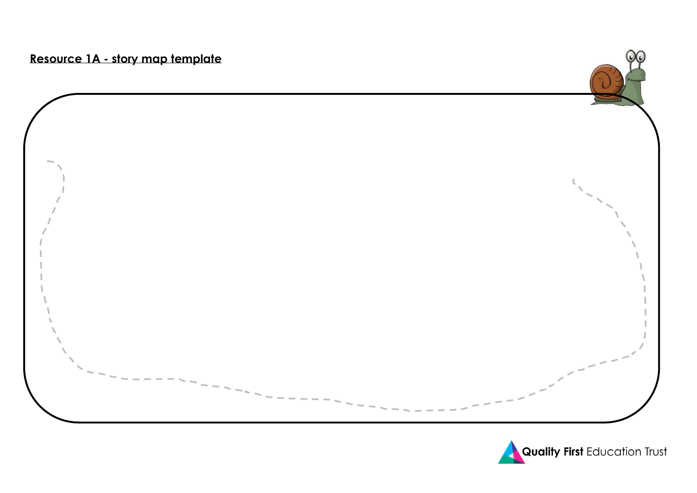



 $\Omega$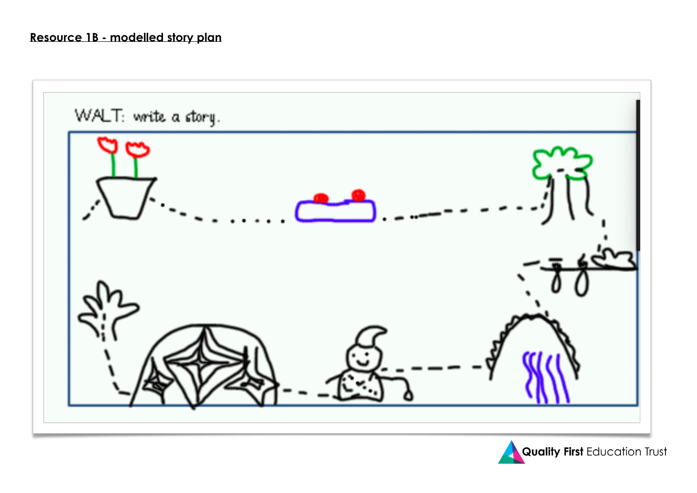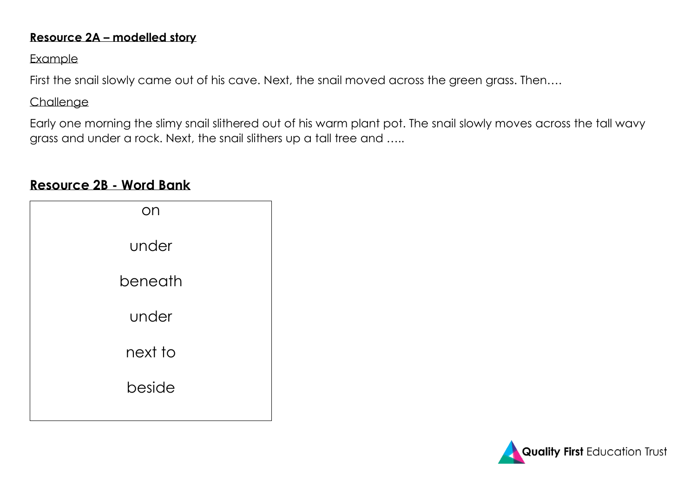### **Resource 2A – modelled story**

### Example

First the snail slowly came out of his cave. Next, the snail moved across the green grass. Then....

## Challenge

Early one morning the slimy snail slithered out of his warm plant pot. The snail slowly moves across the tall wavy grass and under a rock. Next, the snail slithers up a tall tree and .....

## **Resource 2B - Word Bank**

| on      |  |
|---------|--|
| under   |  |
| beneath |  |
| under   |  |
| next to |  |
| beside  |  |
|         |  |

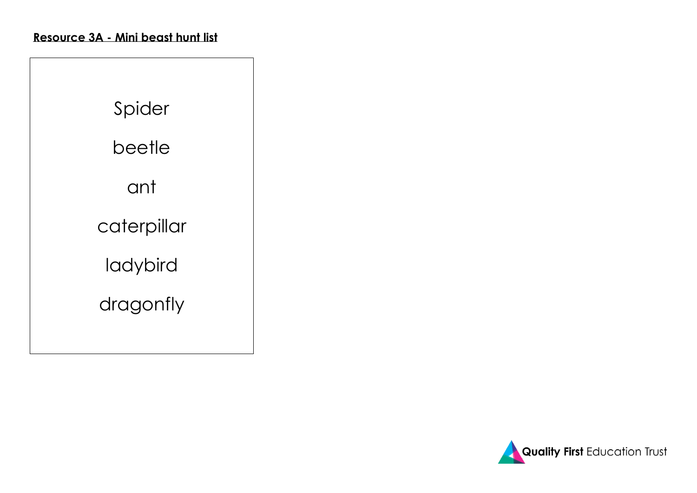| Spider      |
|-------------|
| beetle      |
| ant         |
| caterpillar |
| ladybird    |
| dragonfly   |
|             |

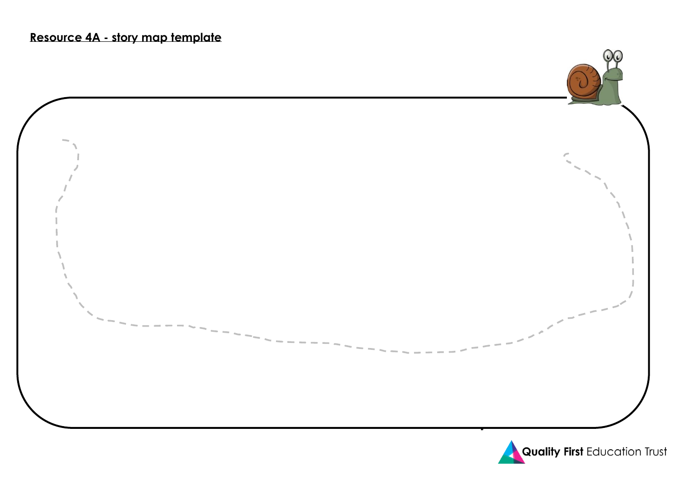

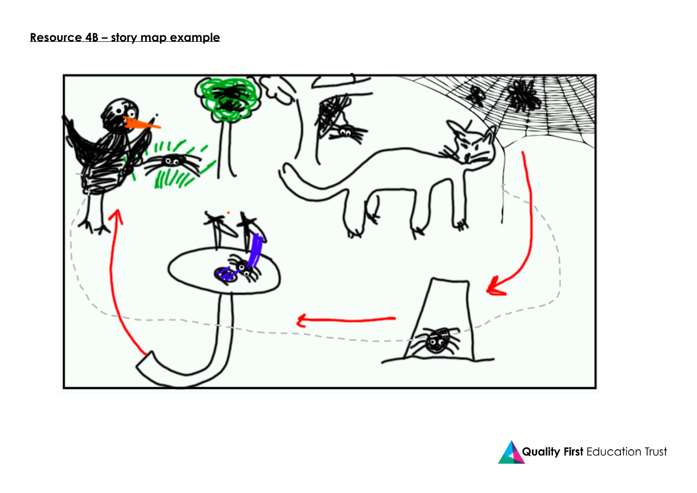